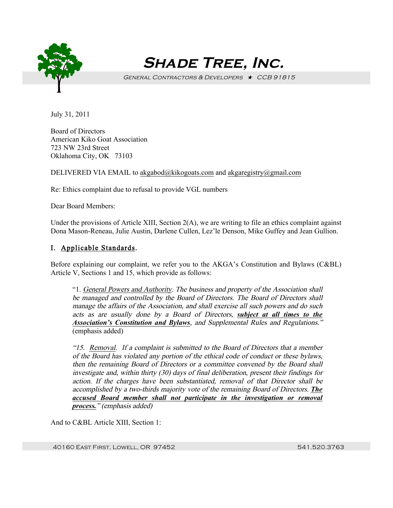

 **Shade Tree, Inc.**

GENERAL CONTRACTORS & DEVELOPERS  $\star$  CCB 91815

July 31, 2011

Board of Directors American Kiko Goat Association 723 NW 23rd Street Oklahoma City, OK 73103

DELIVERED VIA EMAIL to akgabod@kikogoats.com and akgaregistry@gmail.com

Re: Ethics complaint due to refusal to provide VGL numbers

Dear Board Members:

Under the provisions of Article XIII, Section 2(A), we are writing to file an ethics complaint against Dona Mason-Reneau, Julie Austin, Darlene Cullen, Lez'le Denson, Mike Guffey and Jean Gullion.

# I. Applicable Standards.

Before explaining our complaint, we refer you to the AKGA's Constitution and Bylaws (C&BL) Article V, Sections 1 and 15, which provide as follows:

"1. General Powers and Authority. The business and property of the Association shall be managed and controlled by the Board of Directors. The Board of Directors shall manage the affairs of the Association, and shall exercise all such powers and do such acts as are usually done by a Board of Directors, *subject at all times to the Association's Constitution and Bylaws*, and Supplemental Rules and Regulations." (emphasis added)

"15. Removal. If a complaint is submitted to the Board of Directors that a member of the Board has violated any portion of the ethical code of conduct or these bylaws, then the remaining Board of Directors or a committee convened by the Board shall investigate and, within thirty (30) days of final deliberation, present their findings for action. If the charges have been substantiated, removal of that Director shall be accomplished by a two-thirds majority vote of the remaining Board of Directors. *The accused Board member shall not participate in the investigation or removal process.*" (emphasis added)

And to C&BL Article XIII, Section 1:

40160 EAST FIRST, LOWELL, OR 97452 541.520.3763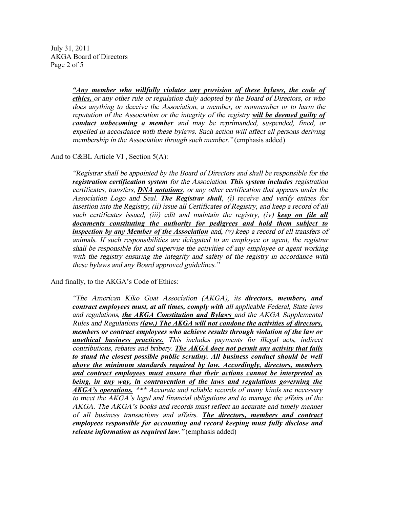July 31, 2011 AKGA Board of Directors Page 2 of 5

> *"Any member who willfully violates any provision of these bylaws, the code of ethics,* or any other rule or regulation duly adopted by the Board of Directors, or who does anything to deceive the Association, a member, or nonmember or to harm the reputation of the Association or the integrity of the registry *will be deemed guilty of conduct unbecoming a member* and may be reprimanded, suspended, fined, or expelled in accordance with these bylaws. Such action will affect all persons deriving membership in the Association through such member." (emphasis added)

And to C&BL Article VI , Section 5(A):

"Registrar shall be appointed by the Board of Directors and shall be responsible for the *registration certification system* for the Association. *This system includes* registration certificates, transfers, *DNA notations*, or any other certification that appears under the Association Logo and Seal. *The Registrar shall*, (i) receive and verify entries for insertion into the Registry, (ii) issue all Certificates of Registry, and keep a record of all such certificates issued, (iii) edit and maintain the registry, (iv) *keep on file all documents constituting the authority for pedigrees and hold them subject to inspection by any Member of the Association* and, (v) keep a record of all transfers of animals. If such responsibilities are delegated to an employee or agent, the registrar shall be responsible for and supervise the activities of any employee or agent working with the registry ensuring the integrity and safety of the registry in accordance with these bylaws and any Board approved guidelines."

And finally, to the AKGA's Code of Ethics:

"The American Kiko Goat Association (AKGA), its *directors, members, and contract employees must, at all times, comply with* all applicable Federal, State laws and regulations, *the AKGA Constitution and Bylaws* and the AKGA Supplemental Rules and Regulations *(law.) The AKGA will not condone the activities of directors, members or contract employees who achieve results through violation of the law or unethical business practices.* This includes payments for illegal acts, indirect contributions, rebates and bribery. *The AKGA does not permit any activity that fails to stand the closest possible public scrutiny. All business conduct should be well above the minimum standards required by law. Accordingly, directors, members and contract employees must ensure that their actions cannot be interpreted as being, in any way, in contravention of the laws and regulations governing the AKGA's operations.* \*\*\* Accurate and reliable records of many kinds are necessary to meet the AKGA's legal and financial obligations and to manage the affairs of the AKGA. The AKGA's books and records must reflect an accurate and timely manner of all business transactions and affairs. *The directors, members and contract employees responsible for accounting and record keeping must fully disclose and release information as required law*." (emphasis added)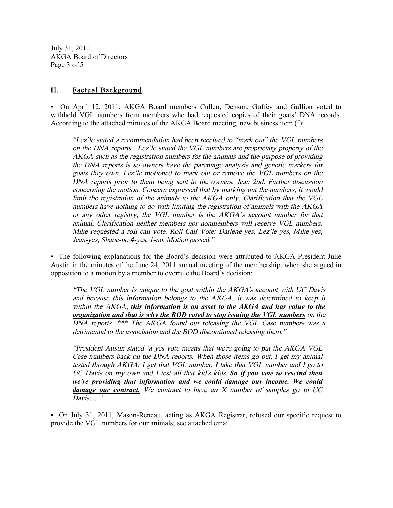July 31, 2011 AKGA Board of Directors Page 3 of 5

#### II. Factual Background.

• On April 12, 2011, AKGA Board members Cullen, Denson, Guffey and Gullion voted to withhold VGL numbers from members who had requested copies of their goats' DNA records. According to the attached minutes of the AKGA Board meeting, new business item (f):

"Lez'le stated a recommendation had been received to "mark out" the VGL numbers on the DNA reports. Lez'le stated the VGL numbers are proprietary property of the AKGA such as the registration numbers for the animals and the purpose of providing the DNA reports is so owners have the parentage analysis and genetic markers for goats they own. Lez'le motioned to mark out or remove the VGL numbers on the DNA reports prior to them being sent to the owners. Jean 2nd. Further discussion concerning the motion. Concern expressed that by marking out the numbers, it would limit the registration of the animals to the AKGA only. Clarification that the VGL numbers have nothing to do with limiting the registration of animals with the AKGA or any other registry; the VGL number is the AKGA's account number for that animal. Clarification neither members nor nonmembers will receive VGL numbers. Mike requested a roll call vote. Roll Call Vote: Darlene-yes, Lez'le-yes, Mike-yes, Jean-yes, Shane-no 4-yes, 1-no. Motion passed."

• The following explanations for the Board's decision were attributed to AKGA President Julie Austin in the minutes of the June 24, 2011 annual meeting of the membership, when she argued in opposition to a motion by a member to overrule the Board's decision:

"The VGL number is unique to the goat within the AKGA's account with UC Davis and because this information belongs to the AKGA, it was determined to keep it within the AKGA; *this information is an asset to the AKGA and has value to the organization and that is why the BOD voted to stop issuing the VGL numbers* on the DNA reports. \*\*\* The AKGA found out releasing the VGL Case numbers was a detrimental to the association and the BOD discontinued releasing them."

"President Austin stated 'a yes vote means that we're going to put the AKGA VGL Case numbers back on the DNA reports. When those items go out, I get my animal tested through AKGA; I get that VGL number, I take that VGL number and I go to UC Davis on my own and I test all that kid's kids. *So if you vote to rescind then we're providing that information and we could damage our income. We could damage our contract.* We contract to have an X number of samples go to UC  $Davis$ …

• On July 31, 2011, Mason-Reneau, acting as AKGA Registrar, refused our specific request to provide the VGL numbers for our animals; see attached email.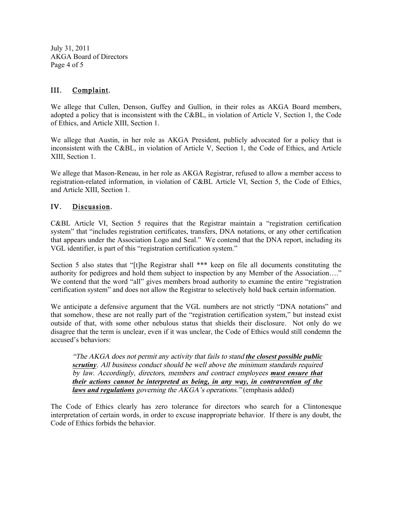July 31, 2011 AKGA Board of Directors Page 4 of 5

## III. Complaint.

We allege that Cullen, Denson, Guffey and Gullion, in their roles as AKGA Board members, adopted a policy that is inconsistent with the C&BL, in violation of Article V, Section 1, the Code of Ethics, and Article XIII, Section 1.

We allege that Austin, in her role as AKGA President, publicly advocated for a policy that is inconsistent with the C&BL, in violation of Article V, Section 1, the Code of Ethics, and Article XIII, Section 1.

We allege that Mason-Reneau, in her role as AKGA Registrar, refused to allow a member access to registration-related information, in violation of C&BL Article VI, Section 5, the Code of Ethics, and Article XIII, Section 1.

## IV. Discussion.

C&BL Article VI, Section 5 requires that the Registrar maintain a "registration certification system" that "includes registration certificates, transfers, DNA notations, or any other certification that appears under the Association Logo and Seal." We contend that the DNA report, including its VGL identifier, is part of this "registration certification system."

Section 5 also states that "[t]he Registrar shall \*\*\* keep on file all documents constituting the authority for pedigrees and hold them subject to inspection by any Member of the Association…." We contend that the word "all" gives members broad authority to examine the entire "registration certification system" and does not allow the Registrar to selectively hold back certain information.

We anticipate a defensive argument that the VGL numbers are not strictly "DNA notations" and that somehow, these are not really part of the "registration certification system," but instead exist outside of that, with some other nebulous status that shields their disclosure. Not only do we disagree that the term is unclear, even if it was unclear, the Code of Ethics would still condemn the accused's behaviors:

"The AKGA does not permit any activity that fails to stand *the closest possible public scrutiny*. All business conduct should be well above the minimum standards required by law. Accordingly, directors, members and contract employees *must ensure that their actions cannot be interpreted as being, in any way, in contravention of the laws and regulations* governing the AKGA's operations." (emphasis added)

The Code of Ethics clearly has zero tolerance for directors who search for a Clintonesque interpretation of certain words, in order to excuse inappropriate behavior. If there is any doubt, the Code of Ethics forbids the behavior.